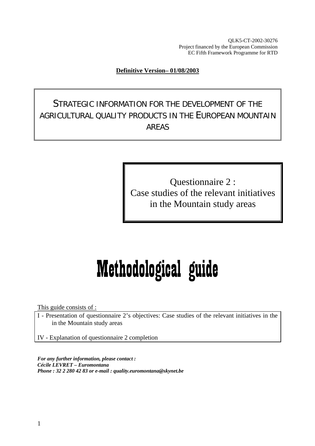QLK5-CT-2002-30276 Project financed by the European Commission EC Fifth Framework Programme for RTD

#### **Definitive Version– 01/08/2003**

STRATEGIC INFORMATION FOR THE DEVELOPMENT OF THE AGRICULTURAL QUALITY PRODUCTS IN THE EUROPEAN MOUNTAIN AREAS

> Questionnaire 2 : Case studies of the relevant initiatives in the Mountain study areas

# Methodological guide

This guide consists of :

I - Presentation of questionnaire 2's objectives: Case studies of the relevant initiatives in the in the Mountain study areas

IV - Explanation of questionnaire 2 completion

*For any further information, please contact : Cécile LEVRET – Euromontana Phone : 32 2 280 42 83 or e-mail : quality.euromontana@skynet.be*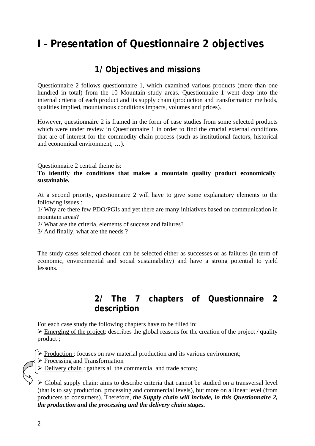# **I – Presentation of Questionnaire 2 objectives**

## **1/ Objectives and missions**

Questionnaire 2 follows questionnaire 1, which examined various products (more than one hundred in total) from the 10 Mountain study areas. Questionnaire 1 went deep into the internal criteria of each product and its supply chain (production and transformation methods, qualities implied, mountainous conditions impacts, volumes and prices).

However, questionnaire 2 is framed in the form of case studies from some selected products which were under review in Questionnaire 1 in order to find the crucial external conditions that are of interest for the commodity chain process (such as institutional factors, historical and economical environment, …).

Questionnaire 2 central theme is:

#### **To identify the conditions that makes a mountain quality product economically sustainable.**

At a second priority, questionnaire 2 will have to give some explanatory elements to the following issues :

1/ Why are there few PDO/PGIs and yet there are many initiatives based on communication in mountain areas?

2/ What are the criteria, elements of success and failures?

3/ And finally, what are the needs ?

The study cases selected chosen can be selected either as successes or as failures (in term of economic, environmental and social sustainability) and have a strong potential to yield lessons.

### **2/ The 7 chapters of Questionnaire 2 description**

For each case study the following chapters have to be filled in:

 $\triangleright$  Emerging of the project: describes the global reasons for the creation of the project / quality product ;

¾ Production : focuses on raw material production and its various environment;

- $\triangleright$  Processing and Transformation
- $\triangleright$  Delivery chain : gathers all the commercial and trade actors;

¾ Global supply chain: aims to describe criteria that cannot be studied on a transversal level (that is to say production, processing and commercial levels), but more on a linear level (from producers to consumers). Therefore, *the Supply chain will include, in this Questionnaire 2, the production and the processing and the delivery chain stages.*